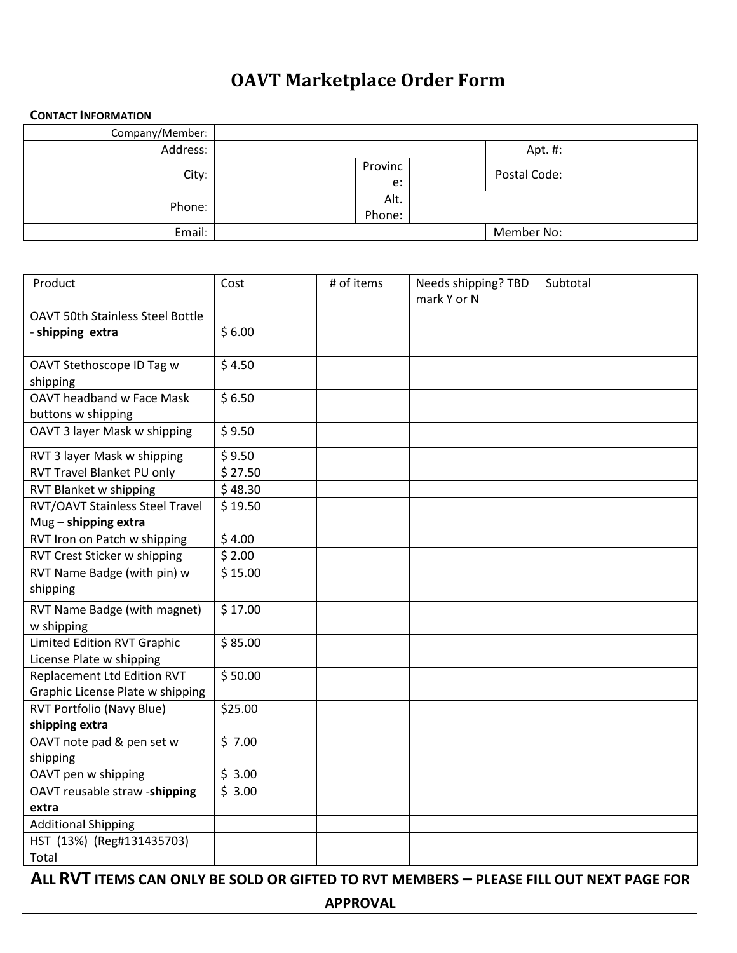## **OAVT Marketplace Order Form**

## **CONTACT INFORMATION**

| Company/Member: |                |              |  |
|-----------------|----------------|--------------|--|
| Address:        |                | Apt. #:      |  |
| City:           | Provinc<br>e:  | Postal Code: |  |
| Phone:          | Alt.<br>Phone: |              |  |
| Email:          |                | Member No:   |  |
|                 |                |              |  |

| Product                                 | Cost    | # of items | Needs shipping? TBD<br>mark Y or N | Subtotal |
|-----------------------------------------|---------|------------|------------------------------------|----------|
| <b>OAVT 50th Stainless Steel Bottle</b> |         |            |                                    |          |
| - shipping extra                        | \$6.00  |            |                                    |          |
|                                         |         |            |                                    |          |
| OAVT Stethoscope ID Tag w               | \$4.50  |            |                                    |          |
| shipping                                |         |            |                                    |          |
| <b>OAVT headband w Face Mask</b>        | \$6.50  |            |                                    |          |
| buttons w shipping                      |         |            |                                    |          |
| OAVT 3 layer Mask w shipping            | \$9.50  |            |                                    |          |
| RVT 3 layer Mask w shipping             | \$9.50  |            |                                    |          |
| RVT Travel Blanket PU only              | \$27.50 |            |                                    |          |
| <b>RVT Blanket w shipping</b>           | \$48.30 |            |                                    |          |
| RVT/OAVT Stainless Steel Travel         | \$19.50 |            |                                    |          |
| Mug - shipping extra                    |         |            |                                    |          |
| RVT Iron on Patch w shipping            | \$4.00  |            |                                    |          |
| RVT Crest Sticker w shipping            | \$2.00  |            |                                    |          |
| RVT Name Badge (with pin) w             | \$15.00 |            |                                    |          |
| shipping                                |         |            |                                    |          |
| RVT Name Badge (with magnet)            | \$17.00 |            |                                    |          |
| w shipping                              |         |            |                                    |          |
| <b>Limited Edition RVT Graphic</b>      | \$85.00 |            |                                    |          |
| License Plate w shipping                |         |            |                                    |          |
| <b>Replacement Ltd Edition RVT</b>      | \$50.00 |            |                                    |          |
| Graphic License Plate w shipping        |         |            |                                    |          |
| RVT Portfolio (Navy Blue)               | \$25.00 |            |                                    |          |
| shipping extra                          |         |            |                                    |          |
| OAVT note pad & pen set w               | \$7.00  |            |                                    |          |
| shipping                                |         |            |                                    |          |
| OAVT pen w shipping                     | \$3.00  |            |                                    |          |
| OAVT reusable straw -shipping           | \$3.00  |            |                                    |          |
| extra                                   |         |            |                                    |          |
| <b>Additional Shipping</b>              |         |            |                                    |          |
| HST (13%) (Reg#131435703)               |         |            |                                    |          |
| Total                                   |         |            |                                    |          |

**ALL RVT ITEMS CAN ONLY BE SOLD OR GIFTED TO RVT MEMBERS – PLEASE FILL OUT NEXT PAGE FOR** 

**APPROVAL**